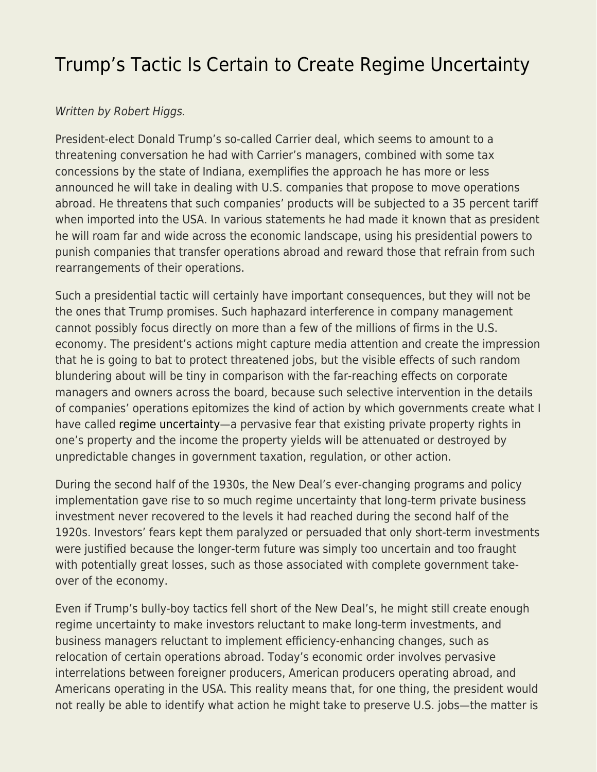## [Trump's Tactic Is Certain to Create Regime Uncertainty](https://everything-voluntary.com/trump-regime-uncertainty)

## Written by Robert Higgs.

President-elect Donald Trump's so-called Carrier deal, which seems to amount to a threatening conversation he had with Carrier's managers, combined with some tax concessions by the state of Indiana, exemplifies the approach he has more or less announced he will take in dealing with U.S. companies that propose to move operations abroad. He threatens that such companies' products will be subjected to a 35 percent tariff when imported into the USA. In various statements he had made it known that as president he will roam far and wide across the economic landscape, using his presidential powers to punish companies that transfer operations abroad and reward those that refrain from such rearrangements of their operations.

Such a presidential tactic will certainly have important consequences, but they will not be the ones that Trump promises. Such haphazard interference in company management cannot possibly focus directly on more than a few of the millions of firms in the U.S. economy. The president's actions might capture media attention and create the impression that he is going to bat to protect threatened jobs, but the visible effects of such random blundering about will be tiny in comparison with the far-reaching effects on corporate managers and owners across the board, because such selective intervention in the details of companies' operations epitomizes the kind of action by which governments create what I have called [regime uncertainty—](http://www.independent.org/publications/tir/article.asp?a=430)a pervasive fear that existing private property rights in one's property and the income the property yields will be attenuated or destroyed by unpredictable changes in government taxation, regulation, or other action.

During the second half of the 1930s, the New Deal's ever-changing programs and policy implementation gave rise to so much regime uncertainty that long-term private business investment never recovered to the levels it had reached during the second half of the 1920s. Investors' fears kept them paralyzed or persuaded that only short-term investments were justified because the longer-term future was simply too uncertain and too fraught with potentially great losses, such as those associated with complete government takeover of the economy.

Even if Trump's bully-boy tactics fell short of the New Deal's, he might still create enough regime uncertainty to make investors reluctant to make long-term investments, and business managers reluctant to implement efficiency-enhancing changes, such as relocation of certain operations abroad. Today's economic order involves pervasive interrelations between foreigner producers, American producers operating abroad, and Americans operating in the USA. This reality means that, for one thing, the president would not really be able to identify what action he might take to preserve U.S. jobs—the matter is